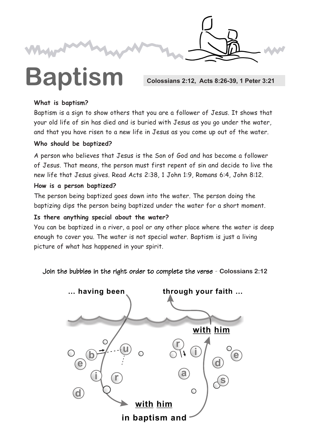

# **Baptism** Colossians 2:12, Acts 8:26-39, 1 Peter 3:21

#### **What is baptism?**

Baptism is a sign to show others that you are a follower of Jesus. It shows that your old life of sin has died and is buried with Jesus as you go under the water, and that you have risen to a new life in Jesus as you come up out of the water.

#### **Who should be baptized?**

A person who believes that Jesus is the Son of God and has become a follower of Jesus. That means, the person must first repent of sin and decide to live the new life that Jesus gives. Read Acts 2:38, 1 John 1:9, Romans 6:4, John 8:12.

#### **How is a person baptized?**

The person being baptized goes down into the water. The person doing the baptizing dips the person being baptized under the water for a short moment.

### **Is there anything special about the water?**

You can be baptized in a river, a pool or any other place where the water is deep enough to cover you. The water is not special water. Baptism is just a living picture of what has happened in your spirit.

Join the bubbles in the right order to complete the verse - Colossians 2:12